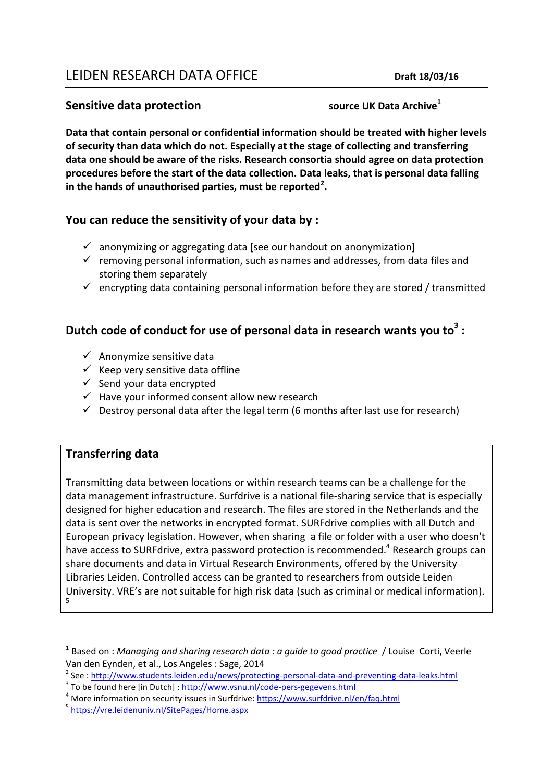# LEIDEN RESEARCH DATA OFFICE **DRAFT 18/03/16**

#### **Sensitive data protection source UK Data Archive**<sup>1</sup>

**Data that contain personal or confidential information should be treated with higher levels of security than data which do not. Especially at the stage of collecting and transferring data one should be aware of the risks. Research consortia should agree on data protection procedures before the start of the data collection. Data leaks, that is personal data falling in the hands of unauthorised parties, must be reported<sup>2</sup> .** 

## **You can reduce the sensitivity of your data by :**

- $\checkmark$  anonymizing or aggregating data [see our handout on anonymization]
- $\checkmark$  removing personal information, such as names and addresses, from data files and storing them separately
- $\checkmark$  encrypting data containing personal information before they are stored / transmitted

# **Dutch code of conduct for use of personal data in research wants you to<sup>3</sup> :**

- $\checkmark$  Anonymize sensitive data
- $\checkmark$  Keep very sensitive data offline
- $\checkmark$  Send your data encrypted
- $\checkmark$  Have your informed consent allow new research
- $\checkmark$  Destroy personal data after the legal term (6 months after last use for research)

## **Transferring data**

**.** 

Transmitting data between locations or within research teams can be a challenge for the data management infrastructure. Surfdrive is a national file-sharing service that is especially designed for higher education and research. The files are stored in the Netherlands and the data is sent over the networks in encrypted format. SURFdrive complies with all Dutch and European privacy legislation. However, when sharing a file or folder with a user who doesn't have access to SURFdrive, extra password protection is recommended.<sup>4</sup> Research groups can share documents and data in Virtual Research Environments, offered by the University Libraries Leiden. Controlled access can be granted to researchers from outside Leiden University. VRE's are not suitable for high risk data (such as criminal or medical information). 5

<sup>&</sup>lt;sup>1</sup> Based on : *Managing and sharing research data : a guide to good practice* / Louise Corti, Veerle Van den Eynden, et al., Los Angeles : Sage, 2014

<sup>&</sup>lt;sup>2</sup> See : <u>http://www.students.leiden.edu/news/protecting-personal-data-and-preventing-data-leaks.html</u>

<sup>&</sup>lt;sup>3</sup> To be found here [in Dutch] : <u>http://www.vsnu.nl/code-pers-gegevens.html</u>

<sup>&</sup>lt;sup>4</sup> More information on security issues in Surfdrive: https://www.surfdrive.nl/en/faq.html

<sup>&</sup>lt;sup>5</sup> <https://vre.leidenuniv.nl/SitePages/Home.aspx>